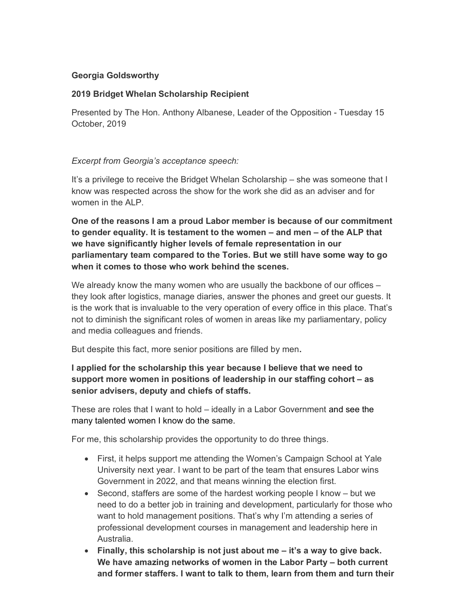## Georgia Goldsworthy

## 2019 Bridget Whelan Scholarship Recipient

Presented by The Hon. Anthony Albanese, Leader of the Opposition - Tuesday 15 October, 2019

## Excerpt from Georgia's acceptance speech:

It's a privilege to receive the Bridget Whelan Scholarship – she was someone that I know was respected across the show for the work she did as an adviser and for women in the ALP.

One of the reasons I am a proud Labor member is because of our commitment to gender equality. It is testament to the women – and men – of the ALP that we have significantly higher levels of female representation in our parliamentary team compared to the Tories. But we still have some way to go when it comes to those who work behind the scenes.

We already know the many women who are usually the backbone of our offices – they look after logistics, manage diaries, answer the phones and greet our guests. It is the work that is invaluable to the very operation of every office in this place. That's not to diminish the significant roles of women in areas like my parliamentary, policy and media colleagues and friends.

But despite this fact, more senior positions are filled by men.

## I applied for the scholarship this year because I believe that we need to support more women in positions of leadership in our staffing cohort – as senior advisers, deputy and chiefs of staffs.

These are roles that I want to hold – ideally in a Labor Government and see the many talented women I know do the same.

For me, this scholarship provides the opportunity to do three things.

- First, it helps support me attending the Women's Campaign School at Yale University next year. I want to be part of the team that ensures Labor wins Government in 2022, and that means winning the election first.
- Second, staffers are some of the hardest working people I know but we need to do a better job in training and development, particularly for those who want to hold management positions. That's why I'm attending a series of professional development courses in management and leadership here in Australia.
- $\bullet$  Finally, this scholarship is not just about me  $-$  it's a way to give back. We have amazing networks of women in the Labor Party – both current and former staffers. I want to talk to them, learn from them and turn their